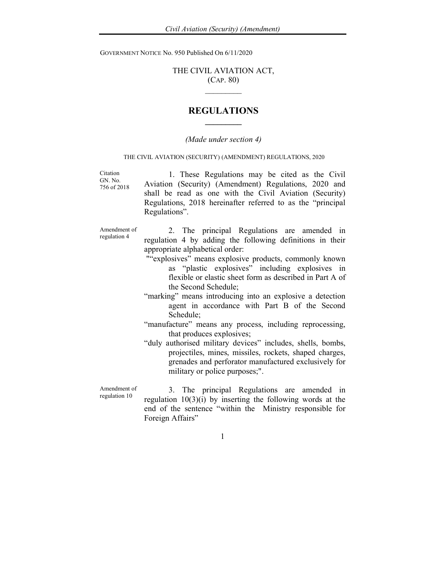GOVERNMENT NOTICE No. 950 Published On 6/11/2020

## THE CIVIL AVIATION ACT, (CAP. 80)  $\mathcal{L}_\text{max}$

## REGULATIONS  $\frac{1}{2}$

## (Made under section 4)

## THE CIVIL AVIATION (SECURITY) (AMENDMENT) REGULATIONS, 2020

Citation GN. No. 756 of 2018

 1. These Regulations may be cited as the Civil Aviation (Security) (Amendment) Regulations, 2020 and shall be read as one with the Civil Aviation (Security) Regulations, 2018 hereinafter referred to as the "principal Regulations".

Amendment of regulation 4

2. The principal Regulations are amended in regulation 4 by adding the following definitions in their appropriate alphabetical order:

- ""explosives" means explosive products, commonly known as "plastic explosives" including explosives in flexible or elastic sheet form as described in Part A of the Second Schedule;
- "marking" means introducing into an explosive a detection agent in accordance with Part B of the Second Schedule;
- "manufacture" means any process, including reprocessing, that produces explosives;
- "duly authorised military devices" includes, shells, bombs, projectiles, mines, missiles, rockets, shaped charges, grenades and perforator manufactured exclusively for military or police purposes;".

Amendment of regulation 10 3. The principal Regulations are amended in regulation 10(3)(i) by inserting the following words at the end of the sentence "within the Ministry responsible for Foreign Affairs"